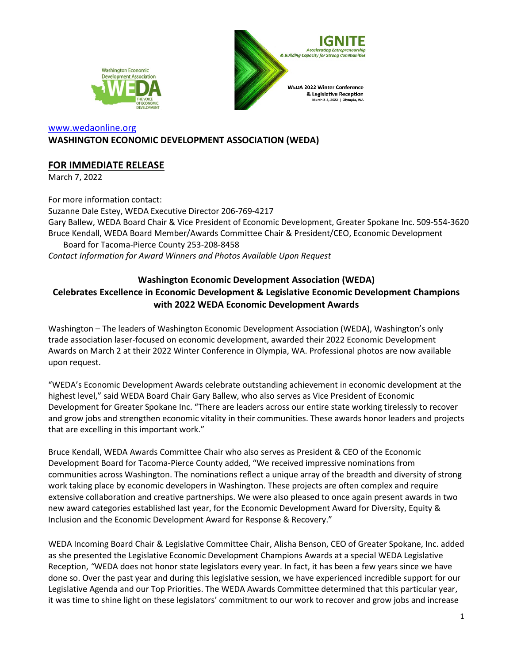



#### [www.wedaonline.org](http://www.wedaonline.org/) **WASHINGTON ECONOMIC DEVELOPMENT ASSOCIATION (WEDA)**

# **FOR IMMEDIATE RELEASE**

March 7, 2022

For more information contact: Suzanne Dale Estey, WEDA Executive Director 206-769-4217 Gary Ballew, WEDA Board Chair & Vice President of Economic Development, Greater Spokane Inc. 509-554-3620 Bruce Kendall, WEDA Board Member/Awards Committee Chair & President/CEO, Economic Development Board for Tacoma-Pierce County 253-208-8458 *Contact Information for Award Winners and Photos Available Upon Request*

# **Washington Economic Development Association (WEDA) Celebrates Excellence in Economic Development & Legislative Economic Development Champions with 2022 WEDA Economic Development Awards**

Washington – The leaders of Washington Economic Development Association (WEDA), Washington's only trade association laser-focused on economic development, awarded their 2022 Economic Development Awards on March 2 at their 2022 Winter Conference in Olympia, WA. Professional photos are now available upon request.

"WEDA's Economic Development Awards celebrate outstanding achievement in economic development at the highest level," said WEDA Board Chair Gary Ballew, who also serves as Vice President of Economic Development for Greater Spokane Inc. "There are leaders across our entire state working tirelessly to recover and grow jobs and strengthen economic vitality in their communities. These awards honor leaders and projects that are excelling in this important work."

Bruce Kendall, WEDA Awards Committee Chair who also serves as President & CEO of the Economic Development Board for Tacoma-Pierce County added, "We received impressive nominations from communities across Washington. The nominations reflect a unique array of the breadth and diversity of strong work taking place by economic developers in Washington. These projects are often complex and require extensive collaboration and creative partnerships. We were also pleased to once again present awards in two new award categories established last year, for the Economic Development Award for Diversity, Equity & Inclusion and the Economic Development Award for Response & Recovery."

WEDA Incoming Board Chair & Legislative Committee Chair, Alisha Benson, CEO of Greater Spokane, Inc. added as she presented the Legislative Economic Development Champions Awards at a special WEDA Legislative Reception, *"*WEDA does not honor state legislators every year. In fact, it has been a few years since we have done so. Over the past year and during this legislative session, we have experienced incredible support for our Legislative Agenda and our Top Priorities. The WEDA Awards Committee determined that this particular year, it was time to shine light on these legislators' commitment to our work to recover and grow jobs and increase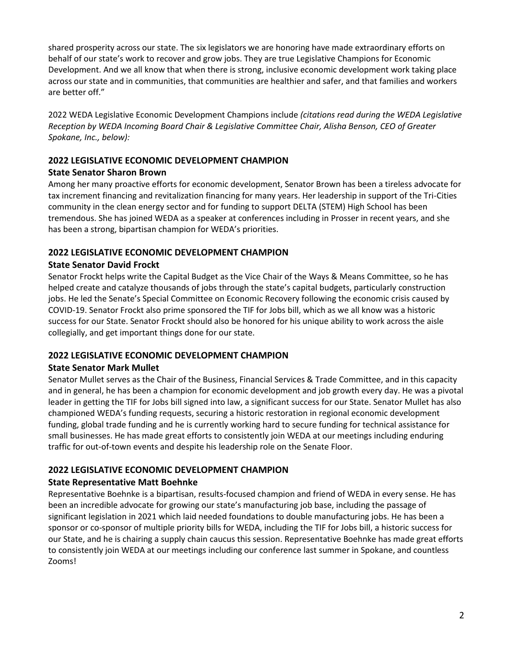shared prosperity across our state. The six legislators we are honoring have made extraordinary efforts on behalf of our state's work to recover and grow jobs. They are true Legislative Champions for Economic Development. And we all know that when there is strong, inclusive economic development work taking place across our state and in communities, that communities are healthier and safer, and that families and workers are better off."

2022 WEDA Legislative Economic Development Champions include *(citations read during the WEDA Legislative Reception by WEDA Incoming Board Chair & Legislative Committee Chair, Alisha Benson, CEO of Greater Spokane, Inc., below):*

### **2022 LEGISLATIVE ECONOMIC DEVELOPMENT CHAMPION**

#### **State Senator Sharon Brown**

Among her many proactive efforts for economic development, Senator Brown has been a tireless advocate for tax increment financing and revitalization financing for many years. Her leadership in support of the Tri-Cities community in the clean energy sector and for funding to support DELTA (STEM) High School has been tremendous. She has joined WEDA as a speaker at conferences including in Prosser in recent years, and she has been a strong, bipartisan champion for WEDA's priorities.

### **2022 LEGISLATIVE ECONOMIC DEVELOPMENT CHAMPION**

### **State Senator David Frockt**

Senator Frockt helps write the Capital Budget as the Vice Chair of the Ways & Means Committee, so he has helped create and catalyze thousands of jobs through the state's capital budgets, particularly construction jobs. He led the Senate's Special Committee on Economic Recovery following the economic crisis caused by COVID-19. Senator Frockt also prime sponsored the TIF for Jobs bill, which as we all know was a historic success for our State. Senator Frockt should also be honored for his unique ability to work across the aisle collegially, and get important things done for our state.

# **2022 LEGISLATIVE ECONOMIC DEVELOPMENT CHAMPION**

#### **State Senator Mark Mullet**

Senator Mullet serves as the Chair of the Business, Financial Services & Trade Committee, and in this capacity and in general, he has been a champion for economic development and job growth every day. He was a pivotal leader in getting the TIF for Jobs bill signed into law, a significant success for our State. Senator Mullet has also championed WEDA's funding requests, securing a historic restoration in regional economic development funding, global trade funding and he is currently working hard to secure funding for technical assistance for small businesses. He has made great efforts to consistently join WEDA at our meetings including enduring traffic for out-of-town events and despite his leadership role on the Senate Floor.

# **2022 LEGISLATIVE ECONOMIC DEVELOPMENT CHAMPION**

# **State Representative Matt Boehnke**

Representative Boehnke is a bipartisan, results-focused champion and friend of WEDA in every sense. He has been an incredible advocate for growing our state's manufacturing job base, including the passage of significant legislation in 2021 which laid needed foundations to double manufacturing jobs. He has been a sponsor or co-sponsor of multiple priority bills for WEDA, including the TIF for Jobs bill, a historic success for our State, and he is chairing a supply chain caucus this session. Representative Boehnke has made great efforts to consistently join WEDA at our meetings including our conference last summer in Spokane, and countless Zooms!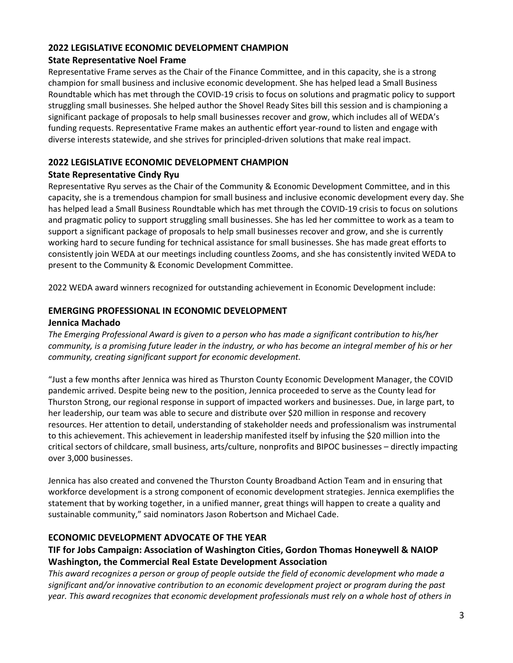#### **2022 LEGISLATIVE ECONOMIC DEVELOPMENT CHAMPION**

#### **State Representative Noel Frame**

Representative Frame serves as the Chair of the Finance Committee, and in this capacity, she is a strong champion for small business and inclusive economic development. She has helped lead a Small Business Roundtable which has met through the COVID-19 crisis to focus on solutions and pragmatic policy to support struggling small businesses. She helped author the Shovel Ready Sites bill this session and is championing a significant package of proposals to help small businesses recover and grow, which includes all of WEDA's funding requests. Representative Frame makes an authentic effort year-round to listen and engage with diverse interests statewide, and she strives for principled-driven solutions that make real impact.

# **2022 LEGISLATIVE ECONOMIC DEVELOPMENT CHAMPION**

# **State Representative Cindy Ryu**

Representative Ryu serves as the Chair of the Community & Economic Development Committee, and in this capacity, she is a tremendous champion for small business and inclusive economic development every day. She has helped lead a Small Business Roundtable which has met through the COVID-19 crisis to focus on solutions and pragmatic policy to support struggling small businesses. She has led her committee to work as a team to support a significant package of proposals to help small businesses recover and grow, and she is currently working hard to secure funding for technical assistance for small businesses. She has made great efforts to consistently join WEDA at our meetings including countless Zooms, and she has consistently invited WEDA to present to the Community & Economic Development Committee.

2022 WEDA award winners recognized for outstanding achievement in Economic Development include:

# **EMERGING PROFESSIONAL IN ECONOMIC DEVELOPMENT**

### **Jennica Machado**

*The Emerging Professional Award is given to a person who has made a significant contribution to his/her community, is a promising future leader in the industry, or who has become an integral member of his or her community, creating significant support for economic development.* 

"Just a few months after Jennica was hired as Thurston County Economic Development Manager, the COVID pandemic arrived. Despite being new to the position, Jennica proceeded to serve as the County lead for Thurston Strong, our regional response in support of impacted workers and businesses. Due, in large part, to her leadership, our team was able to secure and distribute over \$20 million in response and recovery resources. Her attention to detail, understanding of stakeholder needs and professionalism was instrumental to this achievement. This achievement in leadership manifested itself by infusing the \$20 million into the critical sectors of childcare, small business, arts/culture, nonprofits and BIPOC businesses – directly impacting over 3,000 businesses.

Jennica has also created and convened the Thurston County Broadband Action Team and in ensuring that workforce development is a strong component of economic development strategies. Jennica exemplifies the statement that by working together, in a unified manner, great things will happen to create a quality and sustainable community," said nominators Jason Robertson and Michael Cade.

# **ECONOMIC DEVELOPMENT ADVOCATE OF THE YEAR**

# **TIF for Jobs Campaign: Association of Washington Cities, Gordon Thomas Honeywell & NAIOP Washington, the Commercial Real Estate Development Association**

*This award recognizes a person or group of people outside the field of economic development who made a significant and/or innovative contribution to an economic development project or program during the past year. This award recognizes that economic development professionals must rely on a whole host of others in*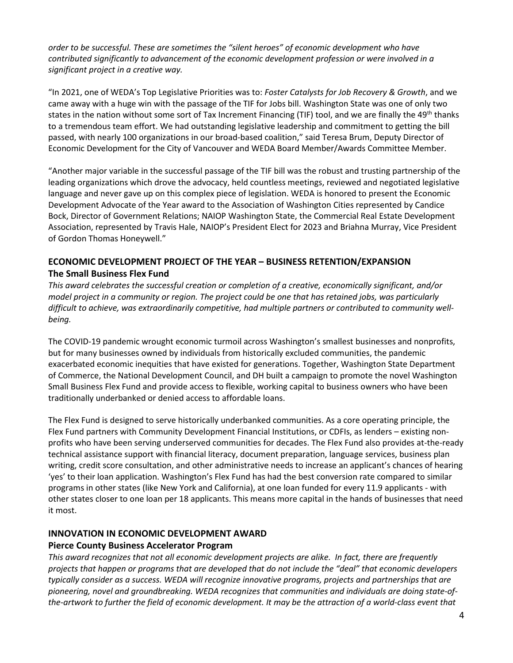*order to be successful. These are sometimes the "silent heroes" of economic development who have contributed significantly to advancement of the economic development profession or were involved in a significant project in a creative way.* 

"In 2021, one of WEDA's Top Legislative Priorities was to: *Foster Catalysts for Job Recovery & Growth*, and we came away with a huge win with the passage of the TIF for Jobs bill. Washington State was one of only two states in the nation without some sort of Tax Increment Financing (TIF) tool, and we are finally the 49<sup>th</sup> thanks to a tremendous team effort. We had outstanding legislative leadership and commitment to getting the bill passed, with nearly 100 organizations in our broad-based coalition," said Teresa Brum, Deputy Director of Economic Development for the City of Vancouver and WEDA Board Member/Awards Committee Member.

"Another major variable in the successful passage of the TIF bill was the robust and trusting partnership of the leading organizations which drove the advocacy, held countless meetings, reviewed and negotiated legislative language and never gave up on this complex piece of legislation. WEDA is honored to present the Economic Development Advocate of the Year award to the Association of Washington Cities represented by Candice Bock, Director of Government Relations; NAIOP Washington State, the Commercial Real Estate Development Association, represented by Travis Hale, NAIOP's President Elect for 2023 and Briahna Murray, Vice President of Gordon Thomas Honeywell."

# **ECONOMIC DEVELOPMENT PROJECT OF THE YEAR – BUSINESS RETENTION/EXPANSION The Small Business Flex Fund**

*This award celebrates the successful creation or completion of a creative, economically significant, and/or model project in a community or region. The project could be one that has retained jobs, was particularly difficult to achieve, was extraordinarily competitive, had multiple partners or contributed to community wellbeing.* 

The COVID-19 pandemic wrought economic turmoil across Washington's smallest businesses and nonprofits, but for many businesses owned by individuals from historically excluded communities, the pandemic exacerbated economic inequities that have existed for generations. Together, Washington State Department of Commerce, the National Development Council, and DH built a campaign to promote the novel Washington Small Business Flex Fund and provide access to flexible, working capital to business owners who have been traditionally underbanked or denied access to affordable loans.

The Flex Fund is designed to serve historically underbanked communities. As a core operating principle, the Flex Fund partners with Community Development Financial Institutions, or CDFIs, as lenders – existing nonprofits who have been serving underserved communities for decades. The Flex Fund also provides at-the-ready technical assistance support with financial literacy, document preparation, language services, business plan writing, credit score consultation, and other administrative needs to increase an applicant's chances of hearing 'yes' to their loan application. Washington's Flex Fund has had the best conversion rate compared to similar programs in other states (like New York and California), at one loan funded for every 11.9 applicants - with other states closer to one loan per 18 applicants. This means more capital in the hands of businesses that need it most.

# **INNOVATION IN ECONOMIC DEVELOPMENT AWARD**

#### **Pierce County Business Accelerator Program**

*This award recognizes that not all economic development projects are alike. In fact, there are frequently projects that happen or programs that are developed that do not include the "deal" that economic developers typically consider as a success. WEDA will recognize innovative programs, projects and partnerships that are pioneering, novel and groundbreaking. WEDA recognizes that communities and individuals are doing state-ofthe-artwork to further the field of economic development. It may be the attraction of a world-class event that*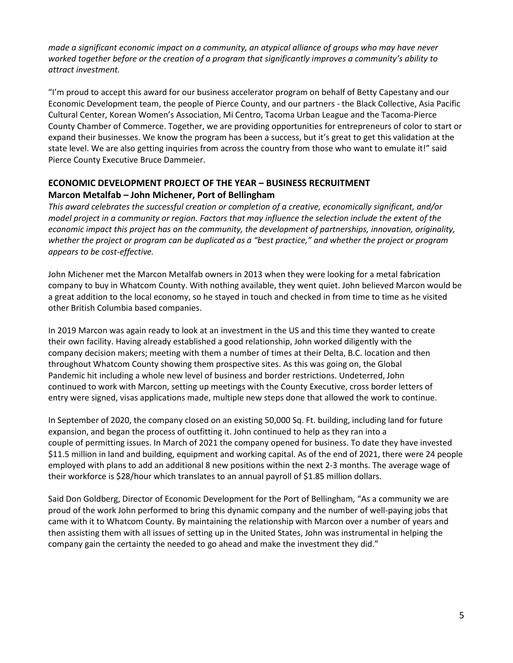*made a significant economic impact on a community, an atypical alliance of groups who may have never worked together before or the creation of a program that significantly improves a community's ability to attract investment.* 

"I'm proud to accept this award for our business accelerator program on behalf of Betty Capestany and our Economic Development team, the people of Pierce County, and our partners - the Black Collective, Asia Pacific Cultural Center, Korean Women's Association, Mi Centro, Tacoma Urban League and the Tacoma-Pierce County Chamber of Commerce. Together, we are providing opportunities for entrepreneurs of color to start or expand their businesses. We know the program has been a success, but it's great to get this validation at the state level. We are also getting inquiries from across the country from those who want to emulate it!" said Pierce County Executive Bruce Dammeier.

# **ECONOMIC DEVELOPMENT PROJECT OF THE YEAR – BUSINESS RECRUITMENT Marcon Metalfab – John Michener, Port of Bellingham**

*This award celebrates the successful creation or completion of a creative, economically significant, and/or model project in a community or region. Factors that may influence the selection include the extent of the economic impact this project has on the community, the development of partnerships, innovation, originality, whether the project or program can be duplicated as a "best practice," and whether the project or program appears to be cost-effective.* 

John Michener met the Marcon Metalfab owners in 2013 when they were looking for a metal fabrication company to buy in Whatcom County. With nothing available, they went quiet. John believed Marcon would be a great addition to the local economy, so he stayed in touch and checked in from time to time as he visited other British Columbia based companies.

In 2019 Marcon was again ready to look at an investment in the US and this time they wanted to create their own facility. Having already established a good relationship, John worked diligently with the company decision makers; meeting with them a number of times at their Delta, B.C. location and then throughout Whatcom County showing them prospective sites. As this was going on, the Global Pandemic hit including a whole new level of business and border restrictions. Undeterred, John continued to work with Marcon, setting up meetings with the County Executive, cross border letters of entry were signed, visas applications made, multiple new steps done that allowed the work to continue.

In September of 2020, the company closed on an existing 50,000 Sq. Ft. building, including land for future expansion, and began the process of outfitting it. John continued to help as they ran into a couple of permitting issues. In March of 2021 the company opened for business. To date they have invested \$11.5 million in land and building, equipment and working capital. As of the end of 2021, there were 24 people employed with plans to add an additional 8 new positions within the next 2-3 months. The average wage of their workforce is \$28/hour which translates to an annual payroll of \$1.85 million dollars.

Said Don Goldberg, Director of Economic Development for the Port of Bellingham, "As a community we are proud of the work John performed to bring this dynamic company and the number of well-paying jobs that came with it to Whatcom County. By maintaining the relationship with Marcon over a number of years and then assisting them with all issues of setting up in the United States, John was instrumental in helping the company gain the certainty the needed to go ahead and make the investment they did."